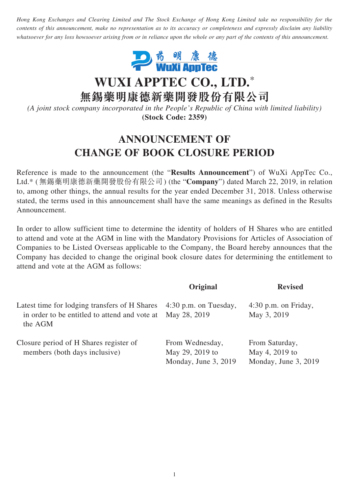*Hong Kong Exchanges and Clearing Limited and The Stock Exchange of Hong Kong Limited take no responsibility for the contents of this announcement, make no representation as to its accuracy or completeness and expressly disclaim any liability whatsoever for any loss howsoever arising from or in reliance upon the whole or any part of the contents of this announcement.*



## **WUXI APPTEC CO., LTD.**\*

**無錫藥明康德新藥開發股份有限公司**

*(A joint stock company incorporated in the People's Republic of China with limited liability)* **(Stock Code: 2359)**

## **ANNOUNCEMENT OF CHANGE OF BOOK CLOSURE PERIOD**

Reference is made to the announcement (the "**Results Announcement**") of WuXi AppTec Co., Ltd.\* (無錫藥明康德新藥開發股份有限公司) (the "**Company**") dated March 22, 2019, in relation to, among other things, the annual results for the year ended December 31, 2018. Unless otherwise stated, the terms used in this announcement shall have the same meanings as defined in the Results Announcement.

In order to allow sufficient time to determine the identity of holders of H Shares who are entitled to attend and vote at the AGM in line with the Mandatory Provisions for Articles of Association of Companies to be Listed Overseas applicable to the Company, the Board hereby announces that the Company has decided to change the original book closure dates for determining the entitlement to attend and vote at the AGM as follows:

|                                                                                                           | Original                                                   | <b>Revised</b>                                           |
|-----------------------------------------------------------------------------------------------------------|------------------------------------------------------------|----------------------------------------------------------|
| Latest time for lodging transfers of H Shares<br>in order to be entitled to attend and vote at<br>the AGM | $4:30$ p.m. on Tuesday,<br>May 28, 2019                    | $4:30$ p.m. on Friday,<br>May 3, 2019                    |
| Closure period of H Shares register of<br>members (both days inclusive)                                   | From Wednesday,<br>May 29, 2019 to<br>Monday, June 3, 2019 | From Saturday,<br>May 4, 2019 to<br>Monday, June 3, 2019 |